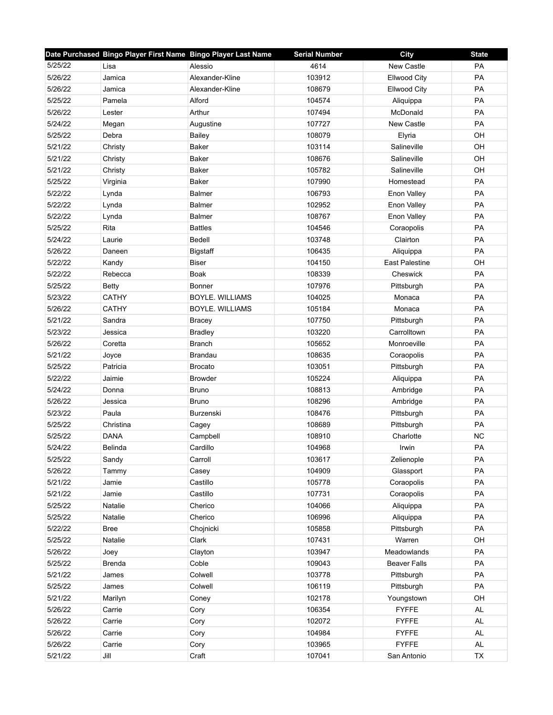|         | Date Purchased Bingo Player First Name Bingo Player Last Name |                        | <b>Serial Number</b> | <b>City</b>           | <b>State</b> |
|---------|---------------------------------------------------------------|------------------------|----------------------|-----------------------|--------------|
| 5/25/22 | Lisa                                                          | Alessio                | 4614                 | New Castle            | PA           |
| 5/26/22 | Jamica                                                        | Alexander-Kline        | 103912               | Ellwood City          | PA           |
| 5/26/22 | Jamica                                                        | Alexander-Kline        | 108679               | <b>Ellwood City</b>   | PA           |
| 5/25/22 | Pamela                                                        | Alford                 | 104574               | Aliquippa             | <b>PA</b>    |
| 5/26/22 | Lester                                                        | Arthur                 | 107494               | McDonald              | PA           |
| 5/24/22 | Megan                                                         | Augustine              | 107727               | New Castle            | PA           |
| 5/25/22 | Debra                                                         | <b>Bailey</b>          | 108079               | Elyria                | OH           |
| 5/21/22 | Christy                                                       | Baker                  | 103114               | Salineville           | OH           |
| 5/21/22 | Christy                                                       | Baker                  | 108676               | Salineville           | OH           |
| 5/21/22 | Christy                                                       | Baker                  | 105782               | Salineville           | OH           |
| 5/25/22 | Virginia                                                      | Baker                  | 107990               | Homestead             | PA           |
| 5/22/22 | Lynda                                                         | <b>Balmer</b>          | 106793               | Enon Valley           | PA           |
| 5/22/22 | Lynda                                                         | <b>Balmer</b>          | 102952               | Enon Valley           | PA           |
| 5/22/22 | Lynda                                                         | <b>Balmer</b>          | 108767               | Enon Valley           | PA           |
| 5/25/22 | Rita                                                          | <b>Battles</b>         | 104546               | Coraopolis            | PA           |
| 5/24/22 | Laurie                                                        | <b>Bedell</b>          | 103748               | Clairton              | PA           |
| 5/26/22 | Daneen                                                        | <b>Bigstaff</b>        | 106435               | Aliquippa             | PA           |
| 5/22/22 | Kandy                                                         | <b>Biser</b>           | 104150               | <b>East Palestine</b> | OH           |
| 5/22/22 | Rebecca                                                       | <b>Boak</b>            | 108339               | Cheswick              | PA           |
| 5/25/22 | <b>Betty</b>                                                  | Bonner                 | 107976               | Pittsburgh            | PA           |
| 5/23/22 | <b>CATHY</b>                                                  | <b>BOYLE. WILLIAMS</b> | 104025               | Monaca                | PA           |
| 5/26/22 | <b>CATHY</b>                                                  | <b>BOYLE, WILLIAMS</b> | 105184               | Monaca                | PA           |
| 5/21/22 | Sandra                                                        | <b>Bracey</b>          | 107750               | Pittsburgh            | PA           |
| 5/23/22 | Jessica                                                       | <b>Bradley</b>         | 103220               | Carrolltown           | PA           |
| 5/26/22 | Coretta                                                       | <b>Branch</b>          | 105652               | Monroeville           | PA           |
| 5/21/22 | Joyce                                                         | <b>Brandau</b>         | 108635               | Coraopolis            | PA           |
| 5/25/22 | Patricia                                                      | <b>Brocato</b>         | 103051               | Pittsburgh            | PA           |
| 5/22/22 | Jaimie                                                        | <b>Browder</b>         | 105224               | Aliquippa             | PA           |
| 5/24/22 | Donna                                                         | <b>Bruno</b>           | 108813               | Ambridge              | PA           |
| 5/26/22 | Jessica                                                       | <b>Bruno</b>           | 108296               | Ambridge              | PA           |
| 5/23/22 | Paula                                                         | Burzenski              | 108476               | Pittsburgh            | PA           |
| 5/25/22 | Christina                                                     | Cagey                  | 108689               | Pittsburgh            | PA           |
| 5/25/22 | <b>DANA</b>                                                   | Campbell               | 108910               | Charlotte             | <b>NC</b>    |
| 5/24/22 | Belinda                                                       | Cardillo               | 104968               | Irwin                 | PA           |
| 5/25/22 | Sandy                                                         | Carroll                | 103617               | Zelienople            | PA           |
| 5/26/22 | Tammy                                                         | Casey                  | 104909               | Glassport             | PA           |
| 5/21/22 | Jamie                                                         | Castillo               | 105778               | Coraopolis            | PA           |
| 5/21/22 | Jamie                                                         | Castillo               | 107731               | Coraopolis            | PA           |
| 5/25/22 | Natalie                                                       | Cherico                | 104066               | Aliquippa             | PA           |
| 5/25/22 | Natalie                                                       | Cherico                | 106996               | Aliquippa             | PA           |
| 5/22/22 | <b>Bree</b>                                                   | Chojnicki              | 105858               | Pittsburgh            | PA           |
| 5/25/22 | Natalie                                                       | Clark                  | 107431               | Warren                | OH           |
| 5/26/22 | Joey                                                          | Clayton                | 103947               | Meadowlands           | PA           |
| 5/25/22 | <b>Brenda</b>                                                 | Coble                  | 109043               | <b>Beaver Falls</b>   | PA           |
| 5/21/22 | James                                                         | Colwell                | 103778               | Pittsburgh            | PA           |
| 5/25/22 | James                                                         | Colwell                | 106119               | Pittsburgh            | PA           |
| 5/21/22 | Marilyn                                                       | Coney                  | 102178               | Youngstown            | OH           |
| 5/26/22 | Carrie                                                        | Cory                   | 106354               | <b>FYFFE</b>          | AL           |
| 5/26/22 | Carrie                                                        | Cory                   | 102072               | <b>FYFFE</b>          | <b>AL</b>    |
| 5/26/22 | Carrie                                                        | Cory                   | 104984               | <b>FYFFE</b>          | <b>AL</b>    |
| 5/26/22 | Carrie                                                        | Cory                   | 103965               | <b>FYFFE</b>          | AL           |
| 5/21/22 | Jill                                                          |                        | 107041               | San Antonio           | TX           |
|         |                                                               | Craft                  |                      |                       |              |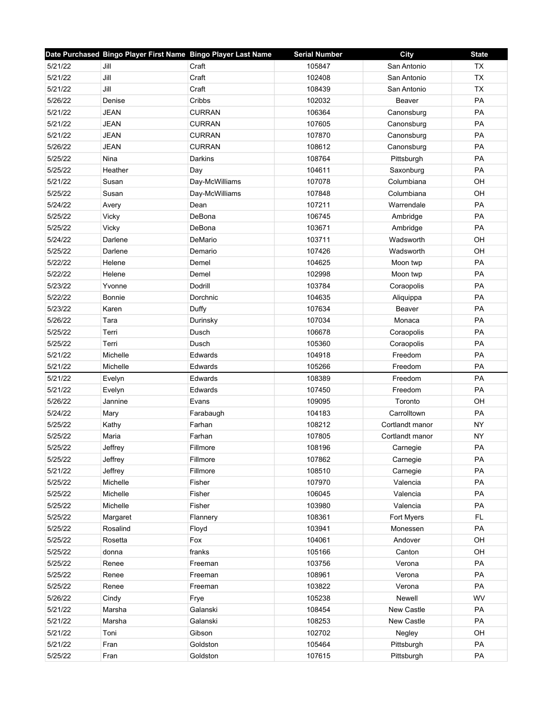|         | Date Purchased Bingo Player First Name Bingo Player Last Name |                | <b>Serial Number</b> | City            | <b>State</b> |
|---------|---------------------------------------------------------------|----------------|----------------------|-----------------|--------------|
| 5/21/22 | Jill                                                          | Craft          | 105847               | San Antonio     | <b>TX</b>    |
| 5/21/22 | Jill                                                          | Craft          | 102408               | San Antonio     | <b>TX</b>    |
| 5/21/22 | Jill                                                          | Craft          | 108439               | San Antonio     | TX           |
| 5/26/22 | Denise                                                        | Cribbs         | 102032               | Beaver          | PA           |
| 5/21/22 | <b>JEAN</b>                                                   | <b>CURRAN</b>  | 106364               | Canonsburg      | PA           |
| 5/21/22 | <b>JEAN</b>                                                   | <b>CURRAN</b>  | 107605               | Canonsburg      | PA           |
| 5/21/22 | <b>JEAN</b>                                                   | <b>CURRAN</b>  | 107870               | Canonsburg      | PA           |
| 5/26/22 | <b>JEAN</b>                                                   | <b>CURRAN</b>  | 108612               | Canonsburg      | PA           |
| 5/25/22 | Nina                                                          | Darkins        | 108764               | Pittsburgh      | PA           |
| 5/25/22 | Heather                                                       | Day            | 104611               | Saxonburg       | PA           |
| 5/21/22 | Susan                                                         | Day-McWilliams | 107078               | Columbiana      | OH           |
| 5/25/22 | Susan                                                         | Day-McWilliams | 107848               | Columbiana      | OH           |
| 5/24/22 | Avery                                                         | Dean           | 107211               | Warrendale      | PA           |
| 5/25/22 | Vicky                                                         | DeBona         | 106745               | Ambridge        | PA           |
| 5/25/22 | Vicky                                                         | DeBona         | 103671               | Ambridge        | PA           |
| 5/24/22 | Darlene                                                       | DeMario        | 103711               | Wadsworth       | OH           |
| 5/25/22 | Darlene                                                       | Demario        | 107426               | Wadsworth       | OH           |
| 5/22/22 | Helene                                                        | Demel          | 104625               | Moon twp        | PA           |
| 5/22/22 | Helene                                                        | Demel          | 102998               | Moon twp        | PA           |
| 5/23/22 | Yvonne                                                        | Dodrill        | 103784               | Coraopolis      | PA           |
| 5/22/22 | Bonnie                                                        | Dorchnic       | 104635               | Aliquippa       | PA           |
| 5/23/22 | Karen                                                         | Duffy          | 107634               | Beaver          | PA           |
| 5/26/22 | Tara                                                          | Durinsky       | 107034               | Monaca          | PA           |
| 5/25/22 | Terri                                                         | Dusch          | 106678               | Coraopolis      | PA           |
| 5/25/22 | Terri                                                         | Dusch          | 105360               | Coraopolis      | PA           |
| 5/21/22 | Michelle                                                      | Edwards        | 104918               | Freedom         | PA           |
| 5/21/22 | Michelle                                                      | Edwards        | 105266               | Freedom         | PA           |
| 5/21/22 | Evelyn                                                        | Edwards        | 108389               | Freedom         | PA           |
| 5/21/22 | Evelyn                                                        | Edwards        | 107450               | Freedom         | PA           |
| 5/26/22 | Jannine                                                       | Evans          | 109095               | Toronto         | OH           |
| 5/24/22 | Mary                                                          | Farabaugh      | 104183               | Carrolltown     | PA           |
| 5/25/22 | Kathy                                                         | Farhan         | 108212               | Cortlandt manor | <b>NY</b>    |
| 5/25/22 | Maria                                                         | Farhan         | 107805               | Cortlandt manor | <b>NY</b>    |
| 5/25/22 | Jeffrey                                                       | Fillmore       | 108196               | Carnegie        | PA           |
| 5/25/22 | Jeffrey                                                       | Fillmore       | 107862               | Carnegie        | PA           |
| 5/21/22 | Jeffrey                                                       | Fillmore       | 108510               | Carnegie        | PA           |
| 5/25/22 | Michelle                                                      | Fisher         | 107970               | Valencia        | PA           |
| 5/25/22 | Michelle                                                      | Fisher         | 106045               | Valencia        | PA           |
| 5/25/22 | Michelle                                                      | Fisher         | 103980               | Valencia        | PA           |
| 5/25/22 | Margaret                                                      | Flannery       | 108361               | Fort Myers      | FL           |
| 5/25/22 | Rosalind                                                      | Floyd          | 103941               | Monessen        | PA           |
| 5/25/22 | Rosetta                                                       | Fox            | 104061               | Andover         | OH           |
| 5/25/22 | donna                                                         | franks         | 105166               | Canton          | OH           |
| 5/25/22 | Renee                                                         | Freeman        | 103756               | Verona          | PA           |
| 5/25/22 | Renee                                                         | Freeman        | 108961               | Verona          | PA           |
| 5/25/22 | Renee                                                         | Freeman        | 103822               | Verona          | PA           |
| 5/26/22 | Cindy                                                         | Frye           | 105238               | Newell          | WV           |
| 5/21/22 | Marsha                                                        | Galanski       | 108454               | New Castle      | PA           |
| 5/21/22 | Marsha                                                        | Galanski       | 108253               | New Castle      | PA           |
| 5/21/22 | Toni                                                          | Gibson         | 102702               | Negley          | OH           |
| 5/21/22 | Fran                                                          | Goldston       | 105464               | Pittsburgh      | PA           |
| 5/25/22 | Fran                                                          | Goldston       | 107615               |                 | PA           |
|         |                                                               |                |                      | Pittsburgh      |              |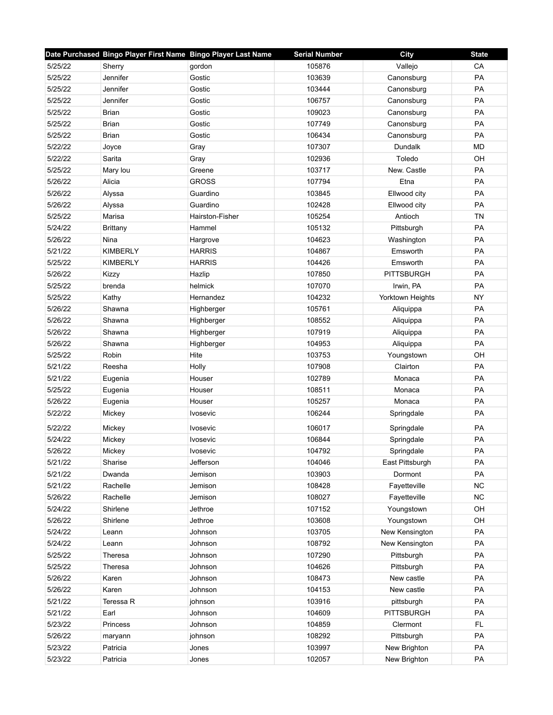|         | Date Purchased Bingo Player First Name Bingo Player Last Name |                 | <b>Serial Number</b> | <b>City</b>       | <b>State</b> |
|---------|---------------------------------------------------------------|-----------------|----------------------|-------------------|--------------|
| 5/25/22 | Sherry                                                        | qordon          | 105876               | Vallejo           | CA           |
| 5/25/22 | Jennifer                                                      | Gostic          | 103639               | Canonsburg        | PA           |
| 5/25/22 | Jennifer                                                      | Gostic          | 103444               | Canonsburg        | PA           |
| 5/25/22 | Jennifer                                                      | Gostic          | 106757               | Canonsburg        | PA           |
| 5/25/22 | <b>Brian</b>                                                  | Gostic          | 109023               | Canonsburg        | PA           |
| 5/25/22 | <b>Brian</b>                                                  | Gostic          | 107749               | Canonsburg        | PA           |
| 5/25/22 | <b>Brian</b>                                                  | Gostic          | 106434               | Canonsburg        | PA           |
| 5/22/22 | Joyce                                                         | Gray            | 107307               | <b>Dundalk</b>    | <b>MD</b>    |
| 5/22/22 | Sarita                                                        | Gray            | 102936               | Toledo            | OH           |
| 5/25/22 | Mary lou                                                      | Greene          | 103717               | New. Castle       | PA           |
| 5/26/22 | Alicia                                                        | <b>GROSS</b>    | 107794               | Etna              | PA           |
| 5/26/22 | Alyssa                                                        | Guardino        | 103845               | Ellwood city      | PA           |
| 5/26/22 | Alyssa                                                        | Guardino        | 102428               | Ellwood city      | PA           |
| 5/25/22 | Marisa                                                        | Hairston-Fisher | 105254               | Antioch           | <b>TN</b>    |
| 5/24/22 | <b>Brittany</b>                                               | Hammel          | 105132               | Pittsburgh        | PA           |
| 5/26/22 | Nina                                                          | Hargrove        | 104623               | Washington        | PA           |
| 5/21/22 | <b>KIMBERLY</b>                                               | <b>HARRIS</b>   | 104867               | Emsworth          | PA           |
| 5/25/22 | <b>KIMBERLY</b>                                               | <b>HARRIS</b>   | 104426               | Emsworth          | PA           |
| 5/26/22 | Kizzy                                                         | Hazlip          | 107850               | <b>PITTSBURGH</b> | <b>PA</b>    |
| 5/25/22 | brenda                                                        | helmick         | 107070               | Irwin, PA         | PA           |
| 5/25/22 | Kathy                                                         | Hernandez       | 104232               | Yorktown Heights  | <b>NY</b>    |
| 5/26/22 | Shawna                                                        | Highberger      | 105761               | Aliquippa         | PA           |
| 5/26/22 | Shawna                                                        | Highberger      | 108552               | Aliquippa         | PA           |
| 5/26/22 | Shawna                                                        | Highberger      | 107919               | Aliquippa         | PA           |
| 5/26/22 | Shawna                                                        | Highberger      | 104953               | Aliquippa         | PA           |
| 5/25/22 | Robin                                                         | Hite            | 103753               | Youngstown        | OH           |
| 5/21/22 | Reesha                                                        | Holly           | 107908               | Clairton          | PA           |
| 5/21/22 | Eugenia                                                       | Houser          | 102789               | Monaca            | PA           |
| 5/25/22 | Eugenia                                                       | Houser          | 108511               | Monaca            | PA           |
| 5/26/22 | Eugenia                                                       | Houser          | 105257               | Monaca            | PA           |
| 5/22/22 | Mickey                                                        | Ivosevic        | 106244               | Springdale        | PA           |
| 5/22/22 | Mickey                                                        | Ivosevic        | 106017               | Springdale        | PA           |
| 5/24/22 | Mickey                                                        | Ivosevic        | 106844               | Springdale        | PA           |
| 5/26/22 | Mickey                                                        | Ivosevic        | 104792               | Springdale        | PA           |
| 5/21/22 | Sharise                                                       | Jefferson       | 104046               | East Pittsburgh   | PA           |
| 5/21/22 | Dwanda                                                        | Jemison         | 103903               | Dormont           | PA           |
| 5/21/22 | Rachelle                                                      | Jemison         | 108428               | Fayetteville      | NC           |
| 5/26/22 | Rachelle                                                      | Jemison         | 108027               | Fayetteville      | <b>NC</b>    |
| 5/24/22 | Shirlene                                                      | Jethroe         | 107152               | Youngstown        | OH           |
| 5/26/22 | Shirlene                                                      | Jethroe         | 103608               | Youngstown        | OH           |
| 5/24/22 | Leann                                                         | Johnson         | 103705               | New Kensington    | PA           |
| 5/24/22 | Leann                                                         | Johnson         | 108792               | New Kensington    | PA           |
| 5/25/22 | Theresa                                                       | Johnson         | 107290               | Pittsburgh        | PA           |
| 5/25/22 | Theresa                                                       | Johnson         | 104626               | Pittsburgh        | PA           |
| 5/26/22 | Karen                                                         | Johnson         | 108473               | New castle        | PA           |
| 5/26/22 | Karen                                                         | Johnson         | 104153               | New castle        | PA           |
| 5/21/22 | Teressa R                                                     | johnson         | 103916               | pittsburgh        | PA           |
| 5/21/22 | Earl                                                          | Johnson         | 104609               | <b>PITTSBURGH</b> | PA           |
| 5/23/22 | Princess                                                      | Johnson         | 104859               | Clermont          | FL           |
| 5/26/22 | maryann                                                       | johnson         | 108292               | Pittsburgh        | PA           |
| 5/23/22 | Patricia                                                      | Jones           | 103997               | New Brighton      | PA           |
| 5/23/22 | Patricia                                                      | Jones           | 102057               | New Brighton      | PA           |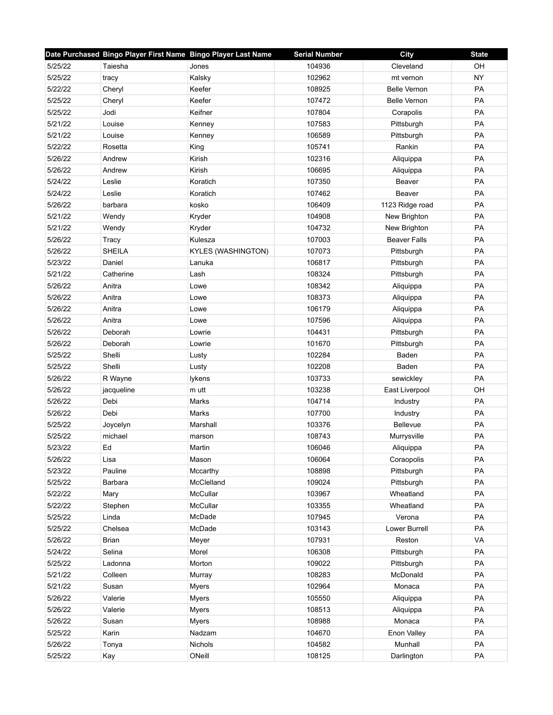|         | Date Purchased Bingo Player First Name Bingo Player Last Name |                           | <b>Serial Number</b> | City                | <b>State</b> |
|---------|---------------------------------------------------------------|---------------------------|----------------------|---------------------|--------------|
| 5/25/22 | Taiesha                                                       | Jones                     | 104936               | Cleveland           | OH           |
| 5/25/22 | tracy                                                         | Kalsky                    | 102962               | mt vernon           | <b>NY</b>    |
| 5/22/22 | Cheryl                                                        | Keefer                    | 108925               | <b>Belle Vernon</b> | PA           |
| 5/25/22 | Cheryl                                                        | Keefer                    | 107472               | <b>Belle Vernon</b> | PA           |
| 5/25/22 | Jodi                                                          | Keifner                   | 107804               | Corapolis           | PA           |
| 5/21/22 | Louise                                                        | Kenney                    | 107583               | Pittsburgh          | PA           |
| 5/21/22 | Louise                                                        | Kenney                    | 106589               | Pittsburgh          | PA           |
| 5/22/22 | Rosetta                                                       | King                      | 105741               | Rankin              | PA           |
| 5/26/22 | Andrew                                                        | Kirish                    | 102316               | Aliquippa           | PA           |
| 5/26/22 | Andrew                                                        | Kirish                    | 106695               | Aliquippa           | PA           |
| 5/24/22 | Leslie                                                        | Koratich                  | 107350               | Beaver              | PA           |
| 5/24/22 | Leslie                                                        | Koratich                  | 107462               | Beaver              | PA           |
| 5/26/22 | barbara                                                       | kosko                     | 106409               | 1123 Ridge road     | PA           |
| 5/21/22 | Wendy                                                         | Kryder                    | 104908               | New Brighton        | PA           |
| 5/21/22 | Wendy                                                         | Kryder                    | 104732               | New Brighton        | PA           |
| 5/26/22 | Tracy                                                         | Kulesza                   | 107003               | <b>Beaver Falls</b> | PA           |
| 5/26/22 | <b>SHEILA</b>                                                 | <b>KYLES (WASHINGTON)</b> | 107073               | Pittsburgh          | PA           |
| 5/23/22 | Daniel                                                        | Lanuka                    | 106817               | Pittsburgh          | PA           |
| 5/21/22 | Catherine                                                     | Lash                      | 108324               | Pittsburgh          | <b>PA</b>    |
| 5/26/22 | Anitra                                                        | Lowe                      | 108342               | Aliquippa           | PA           |
| 5/26/22 | Anitra                                                        | Lowe                      | 108373               | Aliquippa           | PA           |
| 5/26/22 | Anitra                                                        | Lowe                      | 106179               | Aliquippa           | PA           |
| 5/26/22 | Anitra                                                        | Lowe                      | 107596               | Aliquippa           | PA           |
| 5/26/22 | Deborah                                                       | Lowrie                    | 104431               | Pittsburgh          | PA           |
| 5/26/22 | Deborah                                                       | Lowrie                    | 101670               | Pittsburgh          | PA           |
| 5/25/22 | Shelli                                                        | Lusty                     | 102284               | Baden               | PA           |
| 5/25/22 | Shelli                                                        | Lusty                     | 102208               | Baden               | PA           |
| 5/26/22 | R Wayne                                                       | lykens                    | 103733               | sewickley           | PA           |
| 5/26/22 | jacqueline                                                    | m utt                     | 103238               | East Liverpool      | OH           |
| 5/26/22 | Debi                                                          | Marks                     | 104714               | Industry            | <b>PA</b>    |
| 5/26/22 | Debi                                                          | Marks                     | 107700               | Industry            | PA           |
| 5/25/22 | Joycelyn                                                      | Marshall                  | 103376               | <b>Bellevue</b>     | PA           |
| 5/25/22 | michael                                                       | marson                    | 108743               | Murrysville         | PA           |
| 5/23/22 | Ed                                                            | Martin                    | 106046               | Aliquippa           | PA           |
| 5/26/22 | Lisa                                                          | Mason                     | 106064               | Coraopolis          | PA           |
| 5/23/22 | Pauline                                                       | Mccarthy                  | 108898               | Pittsburgh          | PA           |
| 5/25/22 | Barbara                                                       | McClelland                | 109024               | Pittsburgh          | PA           |
| 5/22/22 | Mary                                                          | McCullar                  | 103967               | Wheatland           | PA           |
| 5/22/22 | Stephen                                                       | McCullar                  | 103355               | Wheatland           | PA           |
| 5/25/22 | Linda                                                         | McDade                    | 107945               | Verona              | PA           |
| 5/25/22 | Chelsea                                                       | McDade                    | 103143               | Lower Burrell       | PA           |
| 5/26/22 | <b>Brian</b>                                                  | Meyer                     | 107931               | Reston              | VA           |
| 5/24/22 | Selina                                                        | Morel                     | 106308               | Pittsburgh          | PA           |
| 5/25/22 | Ladonna                                                       | Morton                    | 109022               | Pittsburgh          | PA           |
| 5/21/22 | Colleen                                                       | Murray                    | 108283               | McDonald            | PA           |
| 5/21/22 | Susan                                                         | <b>Myers</b>              | 102964               | Monaca              | PA           |
| 5/26/22 | Valerie                                                       | <b>Myers</b>              | 105550               | Aliquippa           | PA           |
| 5/26/22 | Valerie                                                       | <b>Myers</b>              | 108513               | Aliquippa           | PA           |
| 5/26/22 | Susan                                                         | <b>Myers</b>              | 108988               | Monaca              | PA           |
| 5/25/22 | Karin                                                         | Nadzam                    | 104670               | Enon Valley         | PA           |
| 5/26/22 | Tonya                                                         | <b>Nichols</b>            | 104582               | Munhall             | PA           |
| 5/25/22 | Kay                                                           | ONeill                    | 108125               | Darlington          | PA           |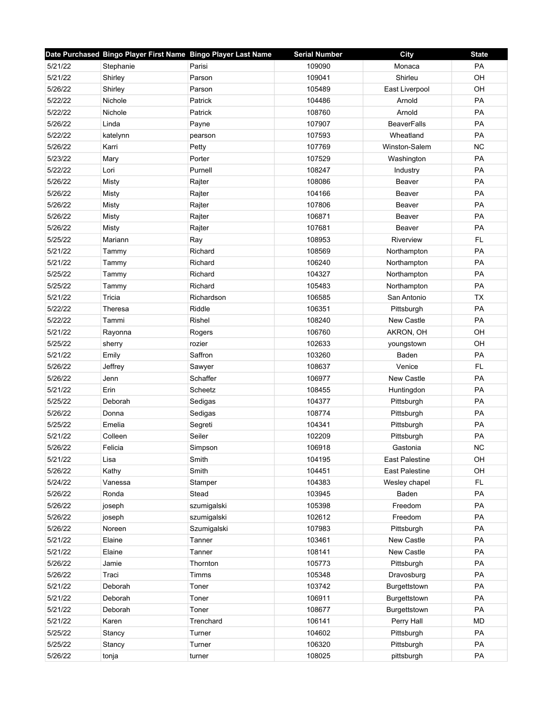|         | Date Purchased Bingo Player First Name Bingo Player Last Name |             | <b>Serial Number</b> | City                  | <b>State</b> |
|---------|---------------------------------------------------------------|-------------|----------------------|-----------------------|--------------|
| 5/21/22 | Stephanie                                                     | Parisi      | 109090               | Monaca                | PA           |
| 5/21/22 | Shirley                                                       | Parson      | 109041               | Shirleu               | OH           |
| 5/26/22 | Shirley                                                       | Parson      | 105489               | East Liverpool        | OH           |
| 5/22/22 | Nichole                                                       | Patrick     | 104486               | Arnold                | PA           |
| 5/22/22 | Nichole                                                       | Patrick     | 108760               | Arnold                | PA           |
| 5/26/22 | Linda                                                         | Payne       | 107907               | <b>BeaverFalls</b>    | PA           |
| 5/22/22 | katelynn                                                      | pearson     | 107593               | Wheatland             | PA           |
| 5/26/22 | Karri                                                         | Petty       | 107769               | Winston-Salem         | <b>NC</b>    |
| 5/23/22 | Mary                                                          | Porter      | 107529               | Washington            | PA           |
| 5/22/22 | Lori                                                          | Purnell     | 108247               | Industry              | PA           |
| 5/26/22 | Misty                                                         | Rajter      | 108086               | Beaver                | PA           |
| 5/26/22 | Misty                                                         | Rajter      | 104166               | Beaver                | PA           |
| 5/26/22 | Misty                                                         | Rajter      | 107806               | Beaver                | PA           |
| 5/26/22 | Misty                                                         | Rajter      | 106871               | Beaver                | PA           |
| 5/26/22 | Misty                                                         | Rajter      | 107681               | Beaver                | PA           |
| 5/25/22 | Mariann                                                       | Ray         | 108953               | Riverview             | <b>FL</b>    |
| 5/21/22 | Tammy                                                         | Richard     | 108569               | Northampton           | PA           |
| 5/21/22 | Tammy                                                         | Richard     | 106240               | Northampton           | PA           |
| 5/25/22 | Tammy                                                         | Richard     | 104327               | Northampton           | <b>PA</b>    |
| 5/25/22 | Tammy                                                         | Richard     | 105483               | Northampton           | PA           |
| 5/21/22 | Tricia                                                        | Richardson  | 106585               | San Antonio           | <b>TX</b>    |
| 5/22/22 | Theresa                                                       | Riddle      | 106351               | Pittsburgh            | PA           |
| 5/22/22 | Tammi                                                         | Rishel      | 108240               | <b>New Castle</b>     | PA           |
| 5/21/22 | Rayonna                                                       | Rogers      | 106760               | AKRON, OH             | OH           |
| 5/25/22 | sherry                                                        | rozier      | 102633               | youngstown            | OH           |
| 5/21/22 | Emily                                                         | Saffron     | 103260               | Baden                 | PA           |
| 5/26/22 | Jeffrey                                                       | Sawyer      | 108637               | Venice                | <b>FL</b>    |
| 5/26/22 | Jenn                                                          | Schaffer    | 106977               | New Castle            | PA           |
| 5/21/22 | Erin                                                          | Scheetz     | 108455               | Huntingdon            | PA           |
| 5/25/22 | Deborah                                                       | Sedigas     | 104377               | Pittsburgh            | PA           |
| 5/26/22 | Donna                                                         | Sedigas     | 108774               | Pittsburgh            | PA           |
| 5/25/22 | Emelia                                                        | Segreti     | 104341               | Pittsburgh            | PA           |
| 5/21/22 | Colleen                                                       | Seiler      | 102209               | Pittsburgh            | PA           |
| 5/26/22 | Felicia                                                       | Simpson     | 106918               | Gastonia              | <b>NC</b>    |
| 5/21/22 | Lisa                                                          | Smith       | 104195               | <b>East Palestine</b> | OH           |
| 5/26/22 | Kathy                                                         | Smith       | 104451               | <b>East Palestine</b> | OH           |
| 5/24/22 | Vanessa                                                       | Stamper     | 104383               | Wesley chapel         | FL.          |
| 5/26/22 | Ronda                                                         | Stead       | 103945               | Baden                 | PA           |
| 5/26/22 | joseph                                                        | szumigalski | 105398               | Freedom               | PA           |
| 5/26/22 | joseph                                                        | szumigalski | 102612               | Freedom               | PA           |
| 5/26/22 | Noreen                                                        | Szumigalski | 107983               | Pittsburgh            | PA           |
| 5/21/22 | Elaine                                                        | Tanner      | 103461               | New Castle            | PA           |
| 5/21/22 | Elaine                                                        | Tanner      | 108141               | New Castle            | PA           |
| 5/26/22 | Jamie                                                         | Thornton    | 105773               | Pittsburgh            | PA           |
| 5/26/22 | Traci                                                         | Timms       | 105348               | Dravosburg            | PA           |
| 5/21/22 | Deborah                                                       | Toner       | 103742               | Burgettstown          | PA           |
| 5/21/22 | Deborah                                                       | Toner       | 106911               | Burgettstown          | PA           |
| 5/21/22 | Deborah                                                       | Toner       | 108677               | Burgettstown          | PA           |
| 5/21/22 | Karen                                                         | Trenchard   | 106141               | Perry Hall            | <b>MD</b>    |
| 5/25/22 | Stancy                                                        | Turner      | 104602               | Pittsburgh            | PA           |
| 5/25/22 | Stancy                                                        | Turner      | 106320               | Pittsburgh            | PA           |
| 5/26/22 | tonja                                                         | turner      | 108025               | pittsburgh            | PA           |